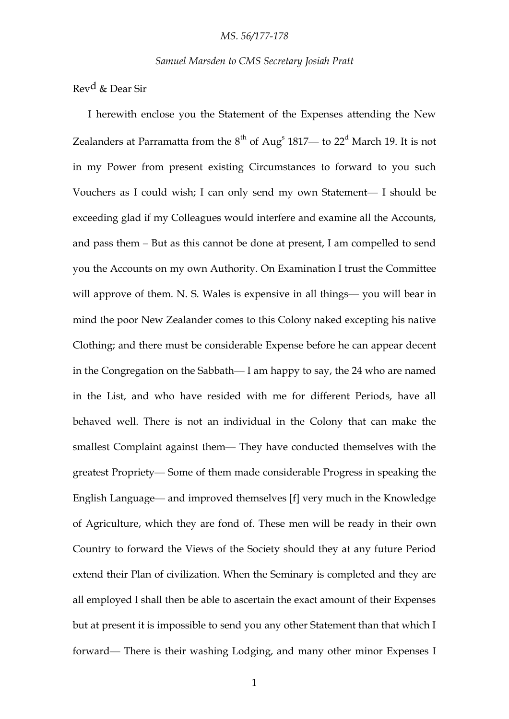*Samuel Marsden to CMS Secretary Josiah Pratt*

Revd & Dear Sir

I herewith enclose you the Statement of the Expenses attending the New Zealanders at Parramatta from the  $8^{\text{th}}$  of Aug<sup>s</sup> 1817— to 22<sup>d</sup> March 19. It is not in my Power from present existing Circumstances to forward to you such Vouchers as I could wish; I can only send my own Statement— I should be exceeding glad if my Colleagues would interfere and examine all the Accounts, and pass them – But as this cannot be done at present, I am compelled to send you the Accounts on my own Authority. On Examination I trust the Committee will approve of them. N. S. Wales is expensive in all things— you will bear in mind the poor New Zealander comes to this Colony naked excepting his native Clothing; and there must be considerable Expense before he can appear decent in the Congregation on the Sabbath— I am happy to say, the 24 who are named in the List, and who have resided with me for different Periods, have all behaved well. There is not an individual in the Colony that can make the smallest Complaint against them— They have conducted themselves with the greatest Propriety— Some of them made considerable Progress in speaking the English Language— and improved themselves [f] very much in the Knowledge of Agriculture, which they are fond of. These men will be ready in their own Country to forward the Views of the Society should they at any future Period extend their Plan of civilization. When the Seminary is completed and they are all employed I shall then be able to ascertain the exact amount of their Expenses but at present it is impossible to send you any other Statement than that which I forward— There is their washing Lodging, and many other minor Expenses I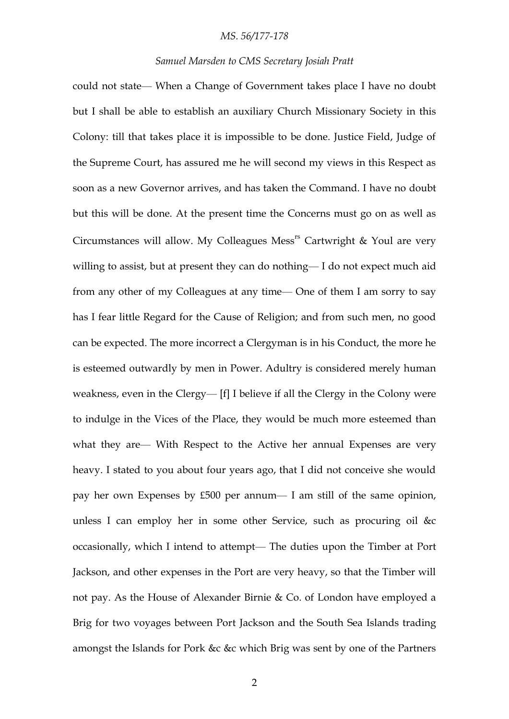## *MS. 56/177-178*

#### *Samuel Marsden to CMS Secretary Josiah Pratt*

could not state— When a Change of Government takes place I have no doubt but I shall be able to establish an auxiliary Church Missionary Society in this Colony: till that takes place it is impossible to be done. Justice Field, Judge of the Supreme Court, has assured me he will second my views in this Respect as soon as a new Governor arrives, and has taken the Command. I have no doubt but this will be done. At the present time the Concerns must go on as well as Circumstances will allow. My Colleagues Mess<sup>rs</sup> Cartwright & Youl are very willing to assist, but at present they can do nothing— I do not expect much aid from any other of my Colleagues at any time— One of them I am sorry to say has I fear little Regard for the Cause of Religion; and from such men, no good can be expected. The more incorrect a Clergyman is in his Conduct, the more he is esteemed outwardly by men in Power. Adultry is considered merely human weakness, even in the Clergy— [f] I believe if all the Clergy in the Colony were to indulge in the Vices of the Place, they would be much more esteemed than what they are— With Respect to the Active her annual Expenses are very heavy. I stated to you about four years ago, that I did not conceive she would pay her own Expenses by £500 per annum— I am still of the same opinion, unless I can employ her in some other Service, such as procuring oil &c occasionally, which I intend to attempt— The duties upon the Timber at Port Jackson, and other expenses in the Port are very heavy, so that the Timber will not pay. As the House of Alexander Birnie & Co. of London have employed a Brig for two voyages between Port Jackson and the South Sea Islands trading amongst the Islands for Pork &c &c which Brig was sent by one of the Partners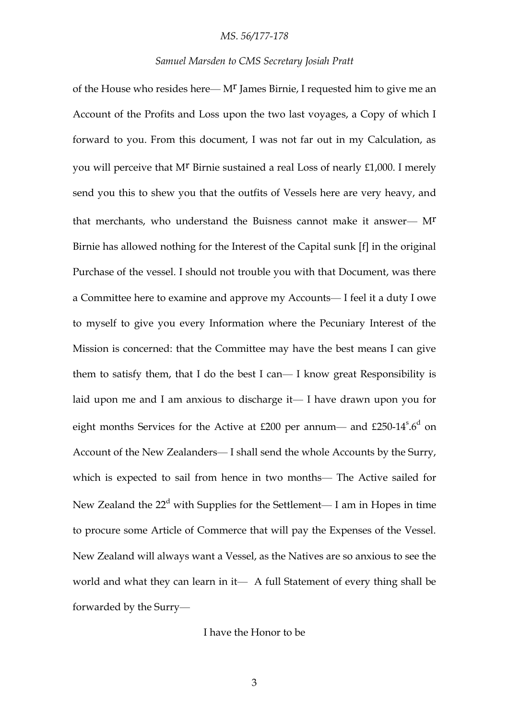### *MS. 56/177-178*

## *Samuel Marsden to CMS Secretary Josiah Pratt*

of the House who resides here— Mr James Birnie, I requested him to give me an Account of the Profits and Loss upon the two last voyages, a Copy of which I forward to you. From this document, I was not far out in my Calculation, as you will perceive that M<sup>r</sup> Birnie sustained a real Loss of nearly £1,000. I merely send you this to shew you that the outfits of Vessels here are very heavy, and that merchants, who understand the Buisness cannot make it answer— Mr Birnie has allowed nothing for the Interest of the Capital sunk [f] in the original Purchase of the vessel. I should not trouble you with that Document, was there a Committee here to examine and approve my Accounts— I feel it a duty I owe to myself to give you every Information where the Pecuniary Interest of the Mission is concerned: that the Committee may have the best means I can give them to satisfy them, that I do the best I can— I know great Responsibility is laid upon me and I am anxious to discharge it— I have drawn upon you for eight months Services for the Active at £200 per annum— and £250-14 $^{\circ}$ .6<sup>d</sup> on Account of the New Zealanders— I shall send the whole Accounts by the Surry, which is expected to sail from hence in two months— The Active sailed for New Zealand the  $22<sup>d</sup>$  with Supplies for the Settlement— I am in Hopes in time to procure some Article of Commerce that will pay the Expenses of the Vessel. New Zealand will always want a Vessel, as the Natives are so anxious to see the world and what they can learn in it— A full Statement of every thing shall be forwarded by the Surry—

## I have the Honor to be